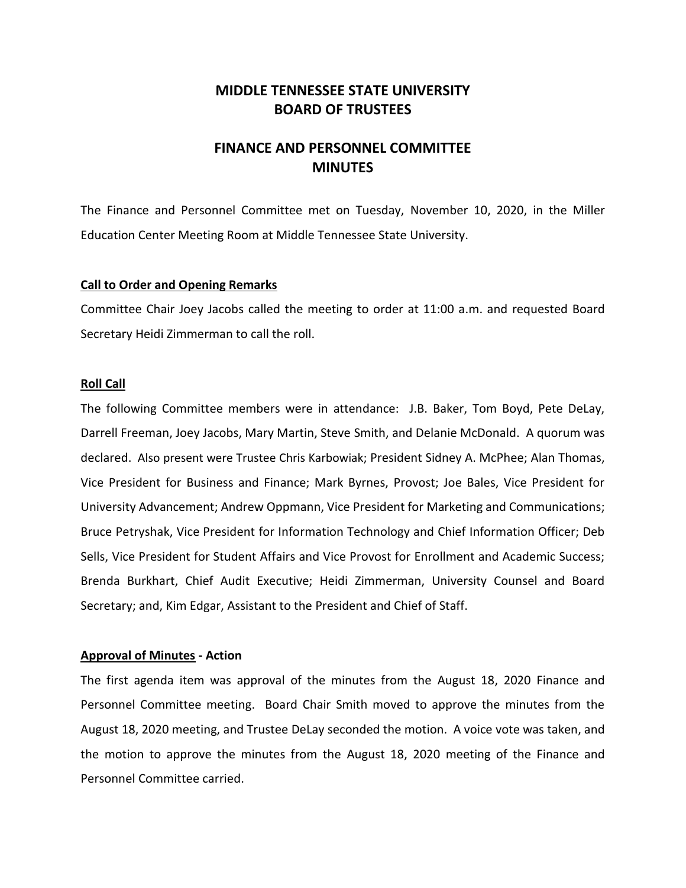## **MIDDLE TENNESSEE STATE UNIVERSITY BOARD OF TRUSTEES**

# **FINANCE AND PERSONNEL COMMITTEE MINUTES**

The Finance and Personnel Committee met on Tuesday, November 10, 2020, in the Miller Education Center Meeting Room at Middle Tennessee State University.

### **Call to Order and Opening Remarks**

Committee Chair Joey Jacobs called the meeting to order at 11:00 a.m. and requested Board Secretary Heidi Zimmerman to call the roll.

### **Roll Call**

The following Committee members were in attendance: J.B. Baker, Tom Boyd, Pete DeLay, Darrell Freeman, Joey Jacobs, Mary Martin, Steve Smith, and Delanie McDonald. A quorum was declared. Also present were Trustee Chris Karbowiak; President Sidney A. McPhee; Alan Thomas, Vice President for Business and Finance; Mark Byrnes, Provost; Joe Bales, Vice President for University Advancement; Andrew Oppmann, Vice President for Marketing and Communications; Bruce Petryshak, Vice President for Information Technology and Chief Information Officer; Deb Sells, Vice President for Student Affairs and Vice Provost for Enrollment and Academic Success; Brenda Burkhart, Chief Audit Executive; Heidi Zimmerman, University Counsel and Board Secretary; and, Kim Edgar, Assistant to the President and Chief of Staff.

## **Approval of Minutes - Action**

The first agenda item was approval of the minutes from the August 18, 2020 Finance and Personnel Committee meeting. Board Chair Smith moved to approve the minutes from the August 18, 2020 meeting, and Trustee DeLay seconded the motion. A voice vote was taken, and the motion to approve the minutes from the August 18, 2020 meeting of the Finance and Personnel Committee carried.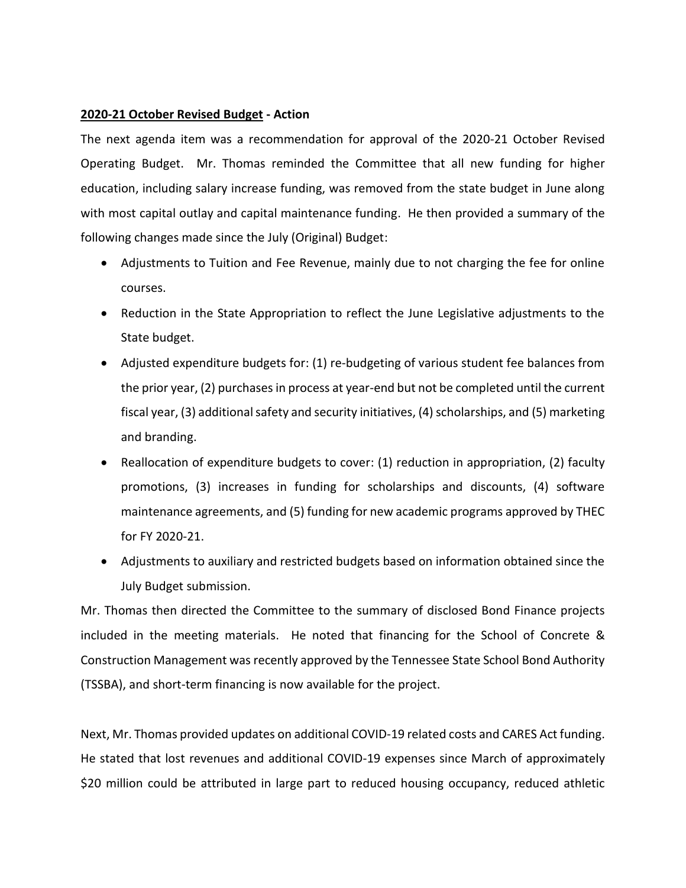## **2020-21 October Revised Budget - Action**

The next agenda item was a recommendation for approval of the 2020-21 October Revised Operating Budget. Mr. Thomas reminded the Committee that all new funding for higher education, including salary increase funding, was removed from the state budget in June along with most capital outlay and capital maintenance funding. He then provided a summary of the following changes made since the July (Original) Budget:

- Adjustments to Tuition and Fee Revenue, mainly due to not charging the fee for online courses.
- Reduction in the State Appropriation to reflect the June Legislative adjustments to the State budget.
- Adjusted expenditure budgets for: (1) re-budgeting of various student fee balances from the prior year, (2) purchases in process at year-end but not be completed until the current fiscal year, (3) additional safety and security initiatives, (4) scholarships, and (5) marketing and branding.
- Reallocation of expenditure budgets to cover: (1) reduction in appropriation, (2) faculty promotions, (3) increases in funding for scholarships and discounts, (4) software maintenance agreements, and (5) funding for new academic programs approved by THEC for FY 2020-21.
- Adjustments to auxiliary and restricted budgets based on information obtained since the July Budget submission.

Mr. Thomas then directed the Committee to the summary of disclosed Bond Finance projects included in the meeting materials. He noted that financing for the School of Concrete & Construction Management was recently approved by the Tennessee State School Bond Authority (TSSBA), and short-term financing is now available for the project.

Next, Mr. Thomas provided updates on additional COVID-19 related costs and CARES Act funding. He stated that lost revenues and additional COVID-19 expenses since March of approximately \$20 million could be attributed in large part to reduced housing occupancy, reduced athletic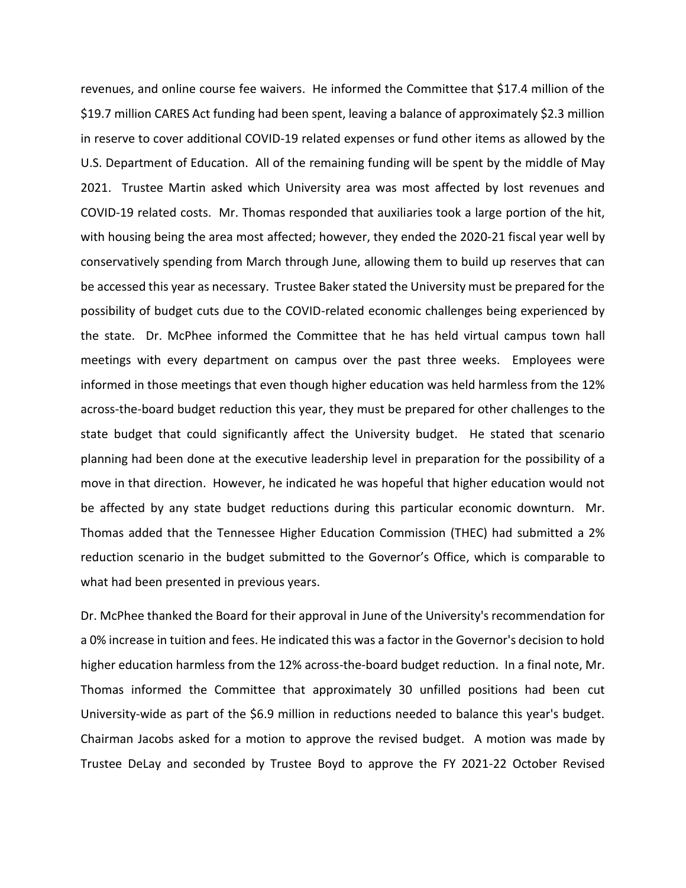revenues, and online course fee waivers. He informed the Committee that \$17.4 million of the \$19.7 million CARES Act funding had been spent, leaving a balance of approximately \$2.3 million in reserve to cover additional COVID-19 related expenses or fund other items as allowed by the U.S. Department of Education. All of the remaining funding will be spent by the middle of May 2021. Trustee Martin asked which University area was most affected by lost revenues and COVID-19 related costs. Mr. Thomas responded that auxiliaries took a large portion of the hit, with housing being the area most affected; however, they ended the 2020-21 fiscal year well by conservatively spending from March through June, allowing them to build up reserves that can be accessed this year as necessary. Trustee Baker stated the University must be prepared for the possibility of budget cuts due to the COVID-related economic challenges being experienced by the state. Dr. McPhee informed the Committee that he has held virtual campus town hall meetings with every department on campus over the past three weeks. Employees were informed in those meetings that even though higher education was held harmless from the 12% across-the-board budget reduction this year, they must be prepared for other challenges to the state budget that could significantly affect the University budget. He stated that scenario planning had been done at the executive leadership level in preparation for the possibility of a move in that direction. However, he indicated he was hopeful that higher education would not be affected by any state budget reductions during this particular economic downturn. Mr. Thomas added that the Tennessee Higher Education Commission (THEC) had submitted a 2% reduction scenario in the budget submitted to the Governor's Office, which is comparable to what had been presented in previous years.

Dr. McPhee thanked the Board for their approval in June of the University's recommendation for a 0% increase in tuition and fees. He indicated this was a factor in the Governor's decision to hold higher education harmless from the 12% across-the-board budget reduction. In a final note, Mr. Thomas informed the Committee that approximately 30 unfilled positions had been cut University-wide as part of the \$6.9 million in reductions needed to balance this year's budget. Chairman Jacobs asked for a motion to approve the revised budget. A motion was made by Trustee DeLay and seconded by Trustee Boyd to approve the FY 2021-22 October Revised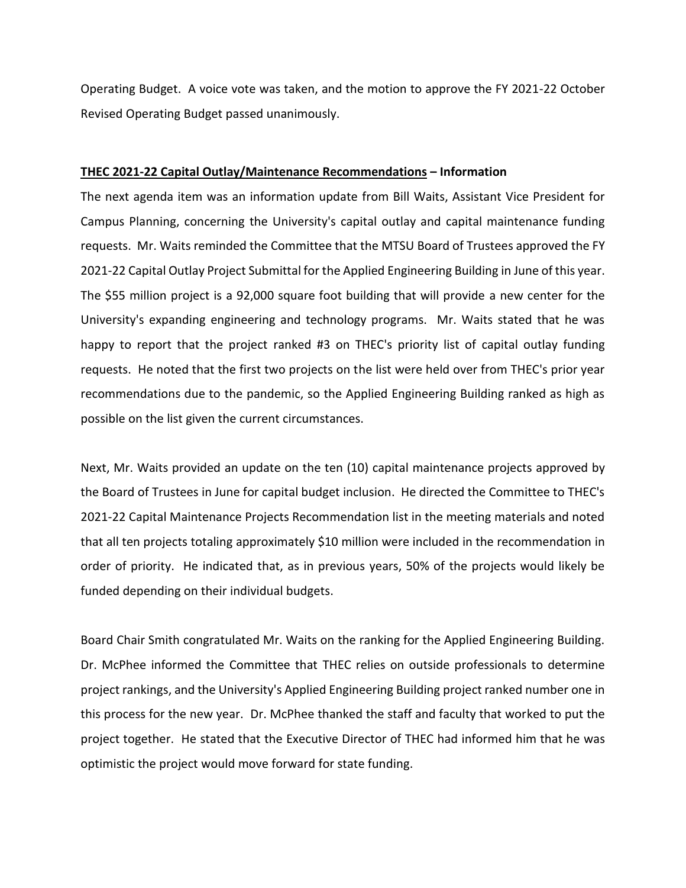Operating Budget. A voice vote was taken, and the motion to approve the FY 2021-22 October Revised Operating Budget passed unanimously.

## **THEC 2021-22 Capital Outlay/Maintenance Recommendations – Information**

The next agenda item was an information update from Bill Waits, Assistant Vice President for Campus Planning, concerning the University's capital outlay and capital maintenance funding requests. Mr. Waits reminded the Committee that the MTSU Board of Trustees approved the FY 2021-22 Capital Outlay Project Submittal for the Applied Engineering Building in June of this year. The \$55 million project is a 92,000 square foot building that will provide a new center for the University's expanding engineering and technology programs. Mr. Waits stated that he was happy to report that the project ranked #3 on THEC's priority list of capital outlay funding requests. He noted that the first two projects on the list were held over from THEC's prior year recommendations due to the pandemic, so the Applied Engineering Building ranked as high as possible on the list given the current circumstances.

Next, Mr. Waits provided an update on the ten (10) capital maintenance projects approved by the Board of Trustees in June for capital budget inclusion. He directed the Committee to THEC's 2021-22 Capital Maintenance Projects Recommendation list in the meeting materials and noted that all ten projects totaling approximately \$10 million were included in the recommendation in order of priority. He indicated that, as in previous years, 50% of the projects would likely be funded depending on their individual budgets.

Board Chair Smith congratulated Mr. Waits on the ranking for the Applied Engineering Building. Dr. McPhee informed the Committee that THEC relies on outside professionals to determine project rankings, and the University's Applied Engineering Building project ranked number one in this process for the new year. Dr. McPhee thanked the staff and faculty that worked to put the project together. He stated that the Executive Director of THEC had informed him that he was optimistic the project would move forward for state funding.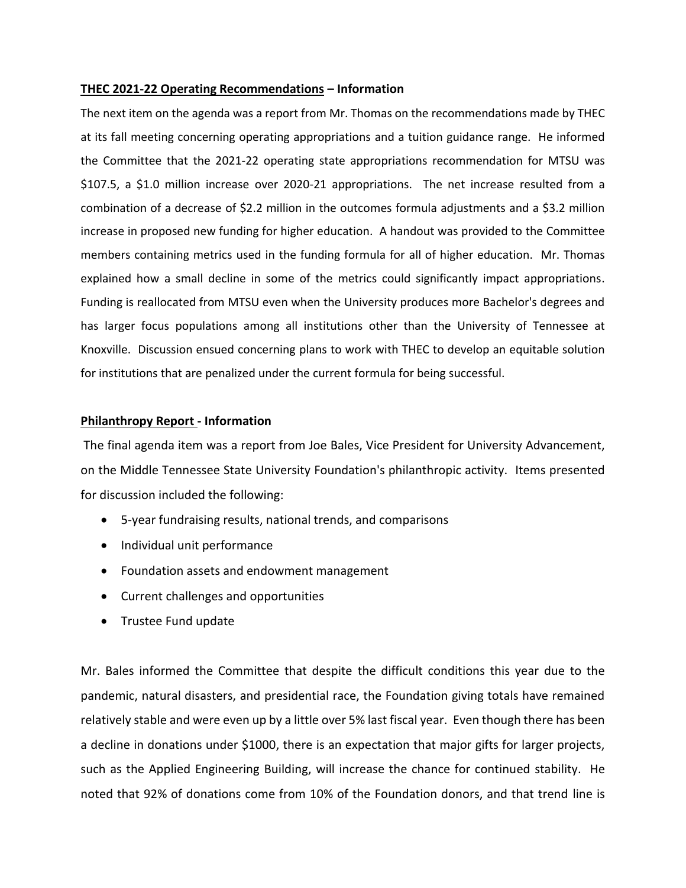## **THEC 2021-22 Operating Recommendations – Information**

The next item on the agenda was a report from Mr. Thomas on the recommendations made by THEC at its fall meeting concerning operating appropriations and a tuition guidance range. He informed the Committee that the 2021-22 operating state appropriations recommendation for MTSU was \$107.5, a \$1.0 million increase over 2020-21 appropriations. The net increase resulted from a combination of a decrease of \$2.2 million in the outcomes formula adjustments and a \$3.2 million increase in proposed new funding for higher education. A handout was provided to the Committee members containing metrics used in the funding formula for all of higher education. Mr. Thomas explained how a small decline in some of the metrics could significantly impact appropriations. Funding is reallocated from MTSU even when the University produces more Bachelor's degrees and has larger focus populations among all institutions other than the University of Tennessee at Knoxville. Discussion ensued concerning plans to work with THEC to develop an equitable solution for institutions that are penalized under the current formula for being successful.

### **Philanthropy Report - Information**

The final agenda item was a report from Joe Bales, Vice President for University Advancement, on the Middle Tennessee State University Foundation's philanthropic activity. Items presented for discussion included the following:

- 5-year fundraising results, national trends, and comparisons
- Individual unit performance
- Foundation assets and endowment management
- Current challenges and opportunities
- Trustee Fund update

Mr. Bales informed the Committee that despite the difficult conditions this year due to the pandemic, natural disasters, and presidential race, the Foundation giving totals have remained relatively stable and were even up by a little over 5% last fiscal year. Even though there has been a decline in donations under \$1000, there is an expectation that major gifts for larger projects, such as the Applied Engineering Building, will increase the chance for continued stability. He noted that 92% of donations come from 10% of the Foundation donors, and that trend line is